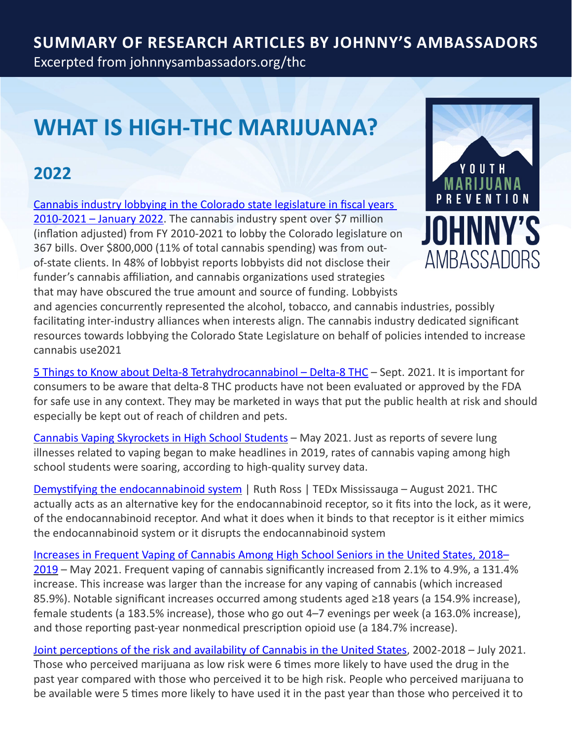#### **Summary of Research Articles by Johnny's Ambassadors** Excerpted from [johnnysambassadors.org/thc](https://johnnysambassadors.org/thc)

# **WHAT IS HIGH-THC MARIJUANA?**

## **2022**

[Cannabis industry lobbying in the Colorado state legislature in fiscal years](https://pubmed.ncbi.nlm.nih.gov/35085854/)  [2010-2021 – January 2022](https://pubmed.ncbi.nlm.nih.gov/35085854/). The cannabis industry spent over \$7 million (inflation adjusted) from FY 2010-2021 to lobby the Colorado legislature on 367 bills. Over \$800,000 (11% of total cannabis spending) was from outof-state clients. In 48% of lobbyist reports lobbyists did not disclose their funder's cannabis affiliation, and cannabis organizations used strategies that may have obscured the true amount and source of funding. Lobbyists



and agencies concurrently represented the alcohol, tobacco, and cannabis industries, possibly facilitating inter-industry alliances when interests align. The cannabis industry dedicated significant resources towards lobbying the Colorado State Legislature on behalf of policies intended to increase cannabis use2021

[5 Things to Know about Delta-8 Tetrahydrocannabinol – Delta-8 THC](https://www.fda.gov/consumers/consumer-updates/5-things-know-about-delta-8-tetrahydrocannabinol-delta-8-thc?utm_medium=email&utm_source=govdelivery) – Sept. 2021. It is important for consumers to be aware that delta-8 THC products have not been evaluated or approved by the FDA for safe use in any context. They may be marketed in ways that put the public health at risk and should especially be kept out of reach of children and pets.

[Cannabis Vaping Skyrockets in High School Students](https://www.medpagetoday.com/primarycare/smoking/92455?fbclid=IwAR3yVSNpsRQvZz3n4UP1zuwoCON6Fmju_nbMB5-TJE_5X0J3DGeH0oXb7RU) – May 2021. Just as reports of severe lung illnesses related to vaping began to make headlines in 2019, rates of cannabis vaping among high school students were soaring, according to high-quality survey data.

[Demystifying the endocannabinoid system](https://www.ted.com/talks/ruth_ross_demystifying_the_endocannabinoid_system/transcript?language=en&fbclid=IwAR01t9AjaP45medGUbeJJvQC41qIsczZKZ4r33YNDDXRljW1-stH-Uv6JlU) | Ruth Ross | TEDx Mississauga – August 2021. THC actually acts as an alternative key for the endocannabinoid receptor, so it fits into the lock, as it were, of the endocannabinoid receptor. And what it does when it binds to that receptor is it either mimics the endocannabinoid system or it disrupts the endocannabinoid system

[Increases in Frequent Vaping of Cannabis Among High School Seniors in the United States, 2018–](https://www.sciencedirect.com/science/article/pii/S1054139X2100166X) [2019](https://www.sciencedirect.com/science/article/pii/S1054139X2100166X) – May 2021. Frequent vaping of cannabis significantly increased from 2.1% to 4.9%, a 131.4% increase. This increase was larger than the increase for any vaping of cannabis (which increased 85.9%). Notable significant increases occurred among students aged ≥18 years (a 154.9% increase), female students (a 183.5% increase), those who go out 4–7 evenings per week (a 163.0% increase), and those reporting past-year nonmedical prescription opioid use (a 184.7% increase).

[Joint perceptions of the risk and availability of Cannabis in the United States,](https://www.sciencedirect.com/science/article/abs/pii/S0376871621003689) 2002-2018 – July 2021. Those who perceived marijuana as low risk were 6 times more likely to have used the drug in the past year compared with those who perceived it to be high risk. People who perceived marijuana to be available were 5 times more likely to have used it in the past year than those who perceived it to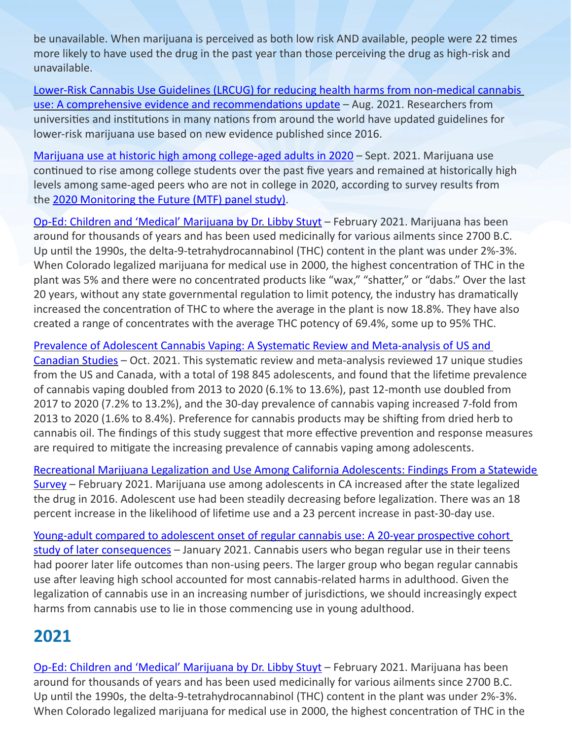be unavailable. When marijuana is perceived as both low risk AND available, people were 22 times more likely to have used the drug in the past year than those perceiving the drug as high-risk and unavailable.

[Lower-Risk Cannabis Use Guidelines \(LRCUG\) for reducing health harms from non-medical cannabis](https://www.sciencedirect.com/science/article/pii/S0955395921002863?)  [use: A comprehensive evidence and recommendations update](https://www.sciencedirect.com/science/article/pii/S0955395921002863?) – Aug. 2021. Researchers from universities and institutions in many nations from around the world have updated guidelines for lower-risk marijuana use based on new evidence published since 2016.

[Marijuana use at historic high among college-aged adults in 2020](https://www.drugabuse.gov/news-events/news-releases/2021/09/marijuana-use-at-historic-high-among-college-aged-adults-in-2020?s=09) – Sept. 2021. Marijuana use continued to rise among college students over the past five years and remained at historically high levels among same-aged peers who are not in college in 2020, according to survey results from the [2020 Monitoring the Future \(MTF\) panel study\)](http://www.monitoringthefuture.org/pubs/monographs/mtf-vol2_2020.pdf).

[Op-Ed: Children and 'Medical' Marijuana by Dr. Libby Stuyt](op-ed: Children and ) – February 2021. Marijuana has been around for thousands of years and has been used medicinally for various ailments since 2700 B.C. Up until the 1990s, the delta-9-tetrahydrocannabinol (THC) content in the plant was under 2%-3%. When Colorado legalized marijuana for medical use in 2000, the highest concentration of THC in the plant was 5% and there were no concentrated products like "wax," "shatter," or "dabs." Over the last 20 years, without any state governmental regulation to limit potency, the industry has dramatically increased the concentration of THC to where the average in the plant is now 18.8%. They have also created a range of concentrates with the average THC potency of 69.4%, some up to 95% THC.

[Prevalence of Adolescent Cannabis Vaping: A Systematic Review and Meta-analysis of US and](https://jamanetwork.com/journals/jamapediatrics/fullarticle/2785376?guestAccessKey=4df985fe-e703-49cc-a46f-da461093574e&utm_source=For_The_Media&utm_medium=referral&utm_campaign=ftm_links&utm_content=tfl&utm_term=102521)  [Canadian Studies](https://jamanetwork.com/journals/jamapediatrics/fullarticle/2785376?guestAccessKey=4df985fe-e703-49cc-a46f-da461093574e&utm_source=For_The_Media&utm_medium=referral&utm_campaign=ftm_links&utm_content=tfl&utm_term=102521) – Oct. 2021. This systematic review and meta-analysis reviewed 17 unique studies from the US and Canada, with a total of 198 845 adolescents, and found that the lifetime prevalence of cannabis vaping doubled from 2013 to 2020 (6.1% to 13.6%), past 12-month use doubled from 2017 to 2020 (7.2% to 13.2%), and the 30-day prevalence of cannabis vaping increased 7-fold from 2013 to 2020 (1.6% to 8.4%). Preference for cannabis products may be shifting from dried herb to cannabis oil. The findings of this study suggest that more effective prevention and response measures are required to mitigate the increasing prevalence of cannabis vaping among adolescents.

[Recreational Marijuana Legalization and Use Among California Adolescents: Findings From a Statewide](https://www.jsad.com/doi/full/10.15288/jsad.2021.82.103)  [Survey](https://www.jsad.com/doi/full/10.15288/jsad.2021.82.103) – February 2021. Marijuana use among adolescents in CA increased after the state legalized the drug in 2016. Adolescent use had been steadily decreasing before legalization. There was an 18 percent increase in the likelihood of lifetime use and a 23 percent increase in past-30-day use.

Young-adult compared to adolescent onset of regular cannabis use: A 20-year prospective cohort [study of later consequences](https://onlinelibrary.wiley.com/doi/abs/10.1111/dar.13239) – January 2021. Cannabis users who began regular use in their teens had poorer later life outcomes than non-using peers. The larger group who began regular cannabis use after leaving high school accounted for most cannabis‐related harms in adulthood. Given the legalization of cannabis use in an increasing number of jurisdictions, we should increasingly expect harms from cannabis use to lie in those commencing use in young adulthood.

# **2021**

[Op-Ed: Children and 'Medical' Marijuana by Dr. Libby Stuyt](https://www.medpagetoday.com/publichealthpolicy/publichealth/90980) – February 2021. Marijuana has been around for thousands of years and has been used medicinally for various ailments since 2700 B.C. Up until the 1990s, the delta-9-tetrahydrocannabinol (THC) content in the plant was under 2%-3%. When Colorado legalized marijuana for medical use in 2000, the highest concentration of THC in the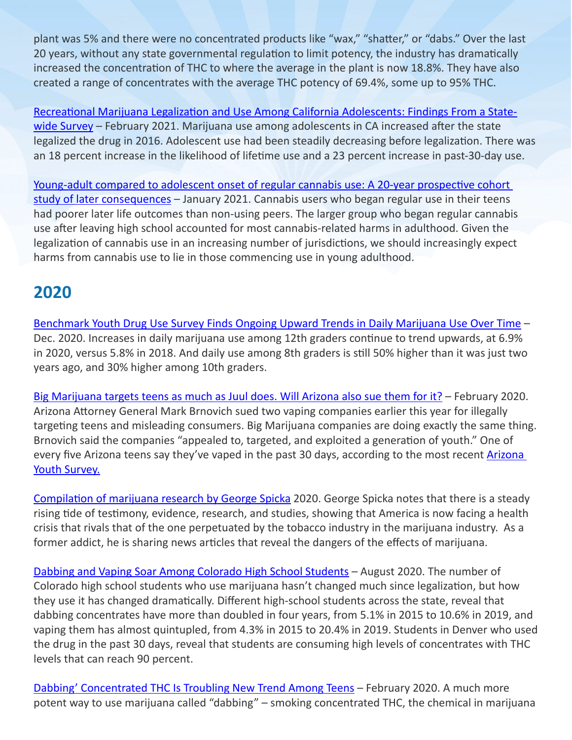plant was 5% and there were no concentrated products like "wax," "shatter," or "dabs." Over the last 20 years, without any state governmental regulation to limit potency, the industry has dramatically increased the concentration of THC to where the average in the plant is now 18.8%. They have also created a range of concentrates with the average THC potency of 69.4%, some up to 95% THC.

[Recreational Marijuana Legalization and Use Among California Adolescents: Findings From a State](https://www.jsad.com/doi/full/10.15288/jsad.2021.82.103)[wide Survey](https://www.jsad.com/doi/full/10.15288/jsad.2021.82.103) - February 2021. Marijuana use among adolescents in CA increased after the state legalized the drug in 2016. Adolescent use had been steadily decreasing before legalization. There was an 18 percent increase in the likelihood of lifetime use and a 23 percent increase in past-30-day use.

Young-adult compared to adolescent onset of regular cannabis use: A 20-year prospective cohort [study of later consequences](https://onlinelibrary.wiley.com/doi/abs/10.1111/dar.13239) - January 2021. Cannabis users who began regular use in their teens had poorer later life outcomes than non-using peers. The larger group who began regular cannabis use after leaving high school accounted for most cannabis‐related harms in adulthood. Given the legalization of cannabis use in an increasing number of jurisdictions, we should increasingly expect harms from cannabis use to lie in those commencing use in young adulthood.

### **2020**

[Benchmark Youth Drug Use Survey Finds Ongoing Upward Trends in Daily Marijuana Use Over Time](https://learnaboutsam.org/benchmark-youth-drug-use-survey-finds-ongoing-upward-trends-in-daily-marijuana-use-over-time-while-other-use-remains-steady-versus-2019/) – Dec. 2020. Increases in daily marijuana use among 12th graders continue to trend upwards, at 6.9% in 2020, versus 5.8% in 2018. And daily use among 8th graders is still 50% higher than it was just two years ago, and 30% higher among 10th graders.

[Big Marijuana targets teens as much as Juul does. Will Arizona also sue them for it?](https://www.azcentral.com/story/opinion/op-ed/2020/02/24/ag-brnovich-sued-big-marijuana-like-he-did-juul-eonsmoke-vaping-companies/4841101002/?fbclid=IwAR1zol9R6qF3rCpXMUDboLodNWdMFMU1_ik4UyPicUaCi3EnRlkG0u8XPaE) – February 2020. Arizona Attorney General Mark Brnovich sued two vaping companies earlier this year for illegally targeting teens and misleading consumers. Big Marijuana companies are doing exactly the same thing. Brnovich said the companies "appealed to, targeted, and exploited a generation of youth." One of every five [Arizona](https://azcjc.gov/sites/default/files/pubs/AYSReports/2018/2018_Arizona_Youth_Survey_State_Report.pdf) teens say they've vaped in the past 30 days, according to the most recent **Arizona** [Youth Survey.](https://azcjc.gov/sites/default/files/pubs/AYSReports/2018/2018_Arizona_Youth_Survey_State_Report.pdf)

[Compilation of marijuana research by George Spicka](https://georgespicka.weebly.com/marijuana-links.html) 2020. George Spicka notes that there is a steady rising tide of testimony, evidence, research, and studies, showing that America is now facing a health crisis that rivals that of the one perpetuated by the tobacco industry in the marijuana industry. As a former addict, he is sharing news articles that reveal the dangers of the effects of marijuana.

[Dabbing and Vaping Soar Among Colorado High School Students](https://mailchi.mp/nationalfamilies/dabbing-and-vaping-soar-among-colorados-high-school-students-new-study-health-consequences-of-high-potency-thc-juul-may-be-in-more-trouble-1932940?e=668346f24a) - August 2020. The number of Colorado high school students who use marijuana hasn't changed much since legalization, but how they use it has changed dramatically. Different high-school students across the state, reveal that dabbing concentrates have more than doubled in four years, from 5.1% in 2015 to 10.6% in 2019, and vaping them has almost quintupled, from 4.3% in 2015 to 20.4% in 2019. Students in Denver who used the drug in the past 30 days, reveal that students are consuming high levels of concentrates with THC levels that can reach 90 percent.

[Dabbing' Concentrated THC Is Troubling New Trend Among Teens](https://www.today.com/video/-dabbing-concentrated-thc-is-troubling-new-trend-among-teens-78749253766) - February 2020. A much more potent way to use marijuana called "dabbing" – smoking concentrated THC, the chemical in marijuana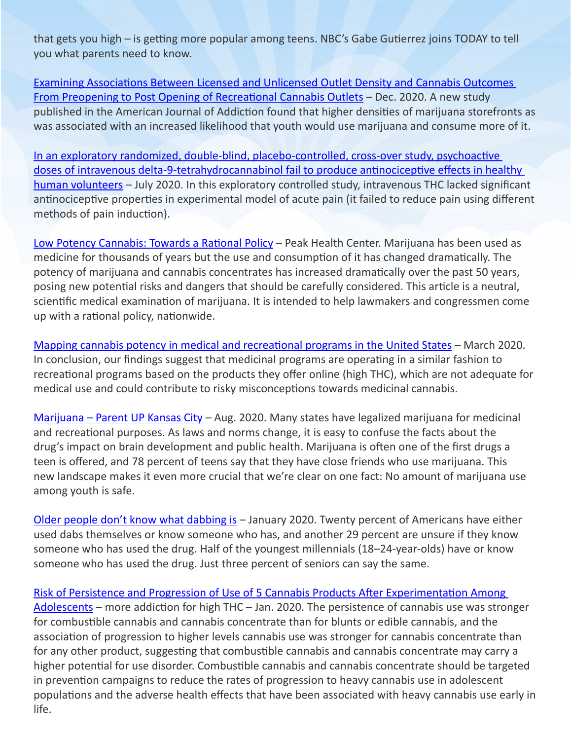that gets you high – is getting more popular among teens. NBC's Gabe Gutierrez joins TODAY to tell you what parents need to know.

[Examining Associations Between Licensed and Unlicensed Outlet Density and Cannabis Outcomes](https://pubmed.ncbi.nlm.nih.gov/33378105/)  [From Preopening to Post Opening of Recreational Cannabis Outlets](https://pubmed.ncbi.nlm.nih.gov/33378105/) - Dec. 2020. A new study published in the American Journal of Addiction found that higher densities of marijuana storefronts as was associated with an increased likelihood that youth would use marijuana and consume more of it.

[In an exploratory randomized, double-blind, placebo-controlled, cross-over study, psychoactive](https://pubmed.ncbi.nlm.nih.gov/32632491/)  [doses of intravenous delta-9-tetrahydrocannabinol fail to produce antinociceptive effects in healthy](https://pubmed.ncbi.nlm.nih.gov/32632491/)  [human volunteers](https://pubmed.ncbi.nlm.nih.gov/32632491/) - July 2020. In this exploratory controlled study, intravenous THC lacked significant antinociceptive properties in experimental model of acute pain (it failed to reduce pain using different methods of pain induction).

[Low Potency Cannabis: Towards a Rational Policy](https://peak.health/blogs/news/low-potency-cannabis-toward-a-rational-policy) - Peak Health Center. Marijuana has been used as medicine for thousands of years but the use and consumption of it has changed dramatically. The potency of marijuana and cannabis concentrates has increased dramatically over the past 50 years, posing new potential risks and dangers that should be carefully considered. This article is a neutral, scientific medical examination of marijuana. It is intended to help lawmakers and congressmen come up with a rational policy, nationwide.

[Mapping cannabis potency in medical and recreational programs in the United States](https://journals.plos.org/plosone/article?id=10.1371/journal.pone.0230167) – March 2020. In conclusion, our findings suggest that medicinal programs are operating in a similar fashion to recreational programs based on the products they offer online (high THC), which are not adequate for medical use and could contribute to risky misconceptions towards medicinal cannabis.

[Marijuana – Parent UP Kansas City](https://parentupkc.com/marijuana/) – Aug. 2020. Many states have legalized marijuana for medicinal and recreational purposes. As laws and norms change, it is easy to confuse the facts about the drug's impact on brain development and public health. Marijuana is often one of the first drugs a teen is offered, and 78 percent of teens say that they have close friends who use marijuana. This new landscape makes it even more crucial that we're clear on one fact: No amount of marijuana use among youth is safe.

[Older people don't know what dabbing is](https://www.surveymonkey.com/curiosity/axios-surveymonkey-poll-dabbing/) – January 2020. Twenty percent of Americans have either used dabs themselves or know someone who has, and another 29 percent are unsure if they know someone who has used the drug. Half of the youngest millennials (18–24-year-olds) have or know someone who has used the drug. Just three percent of seniors can say the same.

[Risk of Persistence and Progression of Use of 5 Cannabis Products After Experimentation Among](https://www.ncbi.nlm.nih.gov/pmc/articles/PMC6991277/)  [Adolescents](https://www.ncbi.nlm.nih.gov/pmc/articles/PMC6991277/) – more addiction for high THC – Jan. 2020. The persistence of cannabis use was stronger for combustible cannabis and cannabis concentrate than for blunts or edible cannabis, and the association of progression to higher levels cannabis use was stronger for cannabis concentrate than for any other product, suggesting that combustible cannabis and cannabis concentrate may carry a higher potential for use disorder. Combustible cannabis and cannabis concentrate should be targeted in prevention campaigns to reduce the rates of progression to heavy cannabis use in adolescent populations and the adverse health effects that have been associated with heavy cannabis use early in life.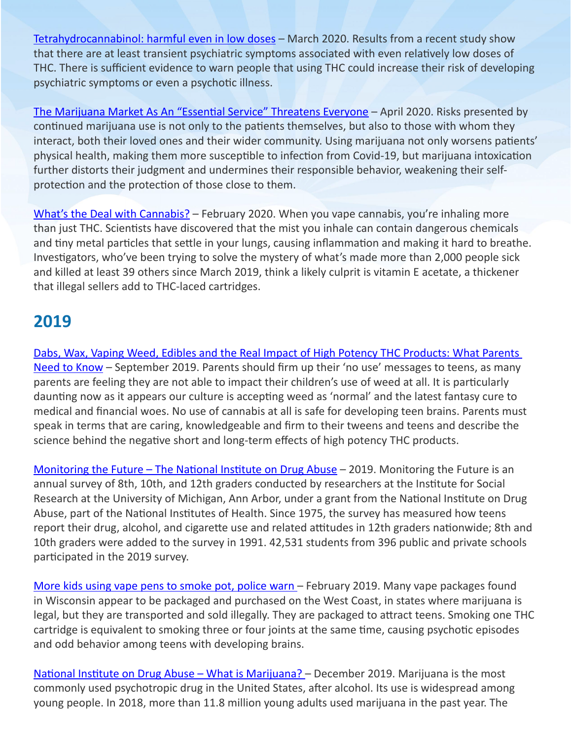[Tetrahydrocannabinol: harmful even in low doses](https://www.thelancet.com/journals/lanpsy/article/PIIS2215-0366(20)30093-6/fulltext) - March 2020. Results from a recent study show that there are at least transient psychiatric symptoms associated with even relatively low doses of THC. There is sufficient evidence to warn people that using THC could increase their risk of developing psychiatric symptoms or even a psychotic illness.

[The Marijuana Market As An "Essential Service" Threatens Everyone](https://www.hudson.org/research/15989-the-marijuana-market-as-an-essential-service-threatens-everyone) – April 2020. Risks presented by continued marijuana use is not only to the patients themselves, but also to those with whom they interact, both their loved ones and their wider community. Using marijuana not only worsens patients' physical health, making them more susceptible to infection from Covid-19, but marijuana intoxication further distorts their judgment and undermines their responsible behavior, weakening their selfprotection and the protection of those close to them.

[What's the Deal with Cannabis?](https://choices.scholastic.com/issues/2019-20/020120/the-truth-about-cannabis.html) – February 2020. When you vape cannabis, you're inhaling more than just THC. Scientists have discovered that the mist you inhale can contain dangerous chemicals and tiny metal particles that settle in your lungs, causing inflammation and making it hard to breathe. Investigators, who've been trying to solve the mystery of what's made more than 2,000 people sick and killed at least 39 others since March 2019, think a likely culprit is vitamin E acetate, a thickener that illegal sellers add to THC-laced cartridges.

### **2019**

[Dabs, Wax, Vaping Weed, Edibles and the Real Impact of High Potency THC Products: What Parents](https://www.rtor.org/2019/09/16/dabs-wax-vaping-weed-edibles-what-parents-need-to-know/?fbclid=IwAR1FfZqV2R6dFLEvlFfAJGvdGtuaBwrYJQpB1D3Whtc4BkobMSWWnZ3EnTI)  [Need to Know](https://www.rtor.org/2019/09/16/dabs-wax-vaping-weed-edibles-what-parents-need-to-know/?fbclid=IwAR1FfZqV2R6dFLEvlFfAJGvdGtuaBwrYJQpB1D3Whtc4BkobMSWWnZ3EnTI) – September 2019. Parents should firm up their 'no use' messages to teens, as many parents are feeling they are not able to impact their children's use of weed at all. It is particularly daunting now as it appears our culture is accepting weed as 'normal' and the latest fantasy cure to medical and financial woes. No use of cannabis at all is safe for developing teen brains. Parents must speak in terms that are caring, knowledgeable and firm to their tweens and teens and describe the science behind the negative short and long-term effects of high potency THC products.

[Monitoring the Future – The National Institute on Drug Abuse](https://www.drugabuse.gov/sites/default/files/nida_mtfinfographic2019_fullgraphic.pdf) – 2019. Monitoring the Future is an annual survey of 8th, 10th, and 12th graders conducted by researchers at the Institute for Social Research at the University of Michigan, Ann Arbor, under a grant from the National Institute on Drug Abuse, part of the National Institutes of Health. Since 1975, the survey has measured how teens report their drug, alcohol, and cigarette use and related attitudes in 12th graders nationwide; 8th and 10th graders were added to the survey in 1991. 42,531 students from 396 public and private schools participated in the 2019 survey.

[More kids using vape pens to smoke pot, police warn](https://www.wbay.com/content/news/Investigators-urge-parents-to-be-aware-of-vape-pens-being-used-to-smoke-pot-506459781.html) - February 2019. Many vape packages found in Wisconsin appear to be packaged and purchased on the West Coast, in states where marijuana is legal, but they are transported and sold illegally. They are packaged to attract teens. Smoking one THC cartridge is equivalent to smoking three or four joints at the same time, causing psychotic episodes and odd behavior among teens with developing brains.

[National Institute on Drug Abuse – What is Marijuana?](https://www.drugabuse.gov/publications/drugfacts/marijuana) – December 2019. Marijuana is the most commonly used psychotropic drug in the United States, after alcohol. Its use is widespread among young people. In 2018, more than 11.8 million young adults used marijuana in the past year. The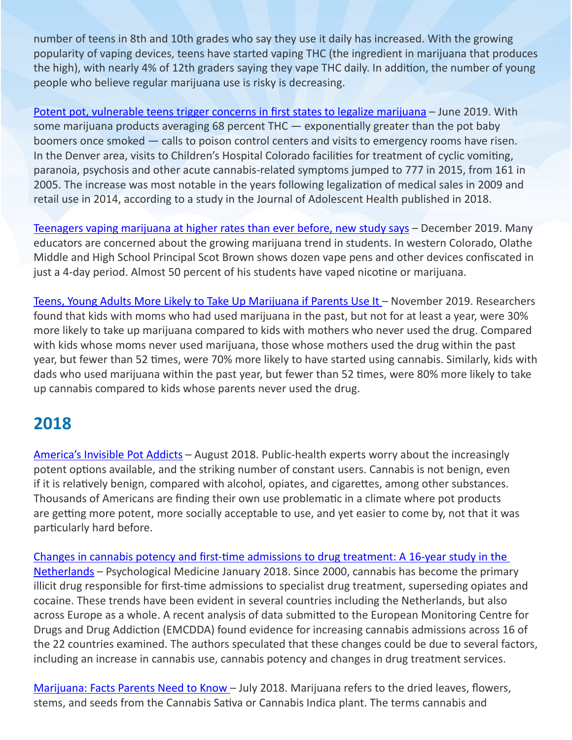number of teens in 8th and 10th grades who say they use it daily has increased. With the growing popularity of vaping devices, teens have started vaping THC (the ingredient in marijuana that produces the high), with nearly 4% of 12th graders saying they vape THC daily. In addition, the number of young people who believe regular marijuana use is risky is decreasing.

[Potent pot, vulnerable teens trigger concerns in first states to legalize marijuana](https://www.washingtonpost.com/national/potent-pot-vulnerable-teens-trigger-concerns-in-first-states-to-legalize-marijuana/2019/06/15/52df638a-8c9a-11e9-8f69-a2795fca3343_story.html?fbclid=IwAR0BSrJF6ZYsqXytZDs1qEZCkhMtYltgpO8Hc31qxVsuUOCIrPcADR6DjHs) – June 2019. With some marijuana products averaging 68 percent THC — exponentially greater than the pot baby boomers once smoked — calls to poison control centers and visits to emergency rooms have risen. In the Denver area, visits to Children's Hospital Colorado facilities for treatment of cyclic vomiting, paranoia, psychosis and other acute cannabis-related symptoms jumped to 777 in 2015, from 161 in 2005. The increase was most notable in the years following legalization of medical sales in 2009 and retail use in 2014, according to a study in the Journal of Adolescent Health published in 2018.

[Teenagers vaping marijuana at higher rates than ever before, new study says](https://www.nbcnews.com/nightly-news/video/teenagers-vaping-marijuana-at-higher-rates-than-ever-before-new-study-says-75318853536) – December 2019. Many educators are concerned about the growing marijuana trend in students. In western Colorado, Olathe Middle and High School Principal Scot Brown shows dozen vape pens and other devices confiscated in just a 4-day period. Almost 50 percent of his students have vaped nicotine or marijuana.

[Teens, Young Adults More Likely to Take Up Marijuana if Parents Use It](https://www.reuters.com/article/us-health-teens-cannabis/teens-young-adults-more-likely-to-take-up-marijuana-if-parents-use-it-idUSKBN1XW2CD) – November 2019. Researchers found that kids with moms who had used marijuana in the past, but not for at least a year, were 30% more likely to take up marijuana compared to kids with mothers who never used the drug. Compared with kids whose moms never used marijuana, those whose mothers used the drug within the past year, but fewer than 52 times, were 70% more likely to have started using cannabis. Similarly, kids with dads who used marijuana within the past year, but fewer than 52 times, were 80% more likely to take up cannabis compared to kids whose parents never used the drug.

### **2018**

[America's Invisible Pot Addicts](https://www.theatlantic.com/ideas/archive/2018/08/americas-invisible-pot-addicts/567886/) – August 2018. Public-health experts worry about the increasingly potent options available, and the striking number of constant users. Cannabis is not benign, even if it is relatively benign, compared with alcohol, opiates, and cigarettes, among other substances. Thousands of Americans are finding their own use problematic in a climate where pot products are getting more potent, more socially acceptable to use, and yet easier to come by, not that it was particularly hard before.

[Changes in cannabis potency and first-time admissions to drug treatment: A 16-year study in the](https://www.researchgate.net/publication/322830280_Changes_in_cannabis_potency_and_first-time_admissions_to_drug_treatment_A_16-year_study_in_the_Netherlands)  [Netherlands](https://www.researchgate.net/publication/322830280_Changes_in_cannabis_potency_and_first-time_admissions_to_drug_treatment_A_16-year_study_in_the_Netherlands) – Psychological Medicine January 2018. Since 2000, cannabis has become the primary illicit drug responsible for first-time admissions to specialist drug treatment, superseding opiates and cocaine. These trends have been evident in several countries including the Netherlands, but also across Europe as a whole. A recent analysis of data submitted to the European Monitoring Centre for Drugs and Drug Addiction (EMCDDA) found evidence for increasing cannabis admissions across 16 of the 22 countries examined. The authors speculated that these changes could be due to several factors, including an increase in cannabis use, cannabis potency and changes in drug treatment services.

[Marijuana: Facts Parents Need to Know](https://www.drugabuse.gov/publications/marijuana-facts-parents-need-to-know/want-to-know-more-some-faqs-about-marijuana) - July 2018. Marijuana refers to the dried leaves, flowers, stems, and seeds from the Cannabis Sativa or Cannabis Indica plant. The terms cannabis and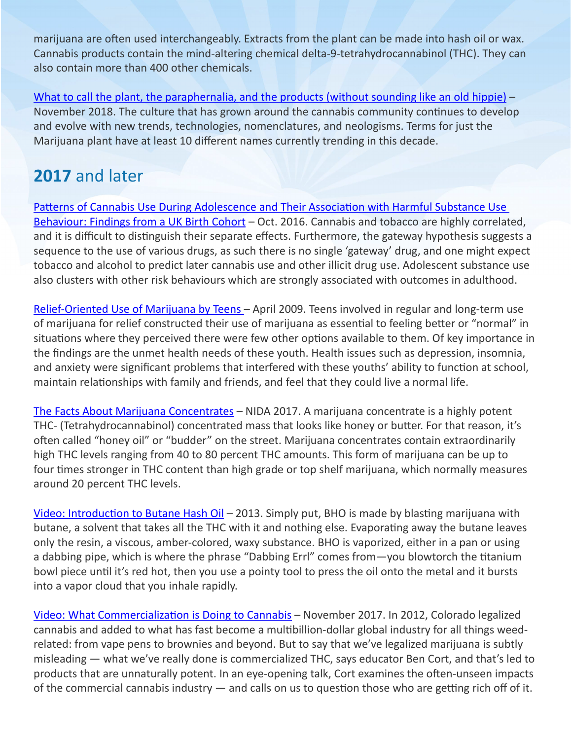marijuana are often used interchangeably. Extracts from the plant can be made into hash oil or wax. Cannabis products contain the mind-altering chemical delta-9-tetrahydrocannabinol (THC). They can also contain more than 400 other chemicals.

[What to call the plant, the paraphernalia, and the products \(without sounding like an old hippie\)](https://my420tours.com/slang-for-weed/) – November 2018. The culture that has grown around the cannabis community continues to develop and evolve with new trends, technologies, nomenclatures, and neologisms. Terms for just the Marijuana plant have at least 10 different names currently trending in this decade.

# **2017** and later

[Patterns of Cannabis Use During Adolescence and Their Association with Harmful Substance Use](https://www.ncbi.nlm.nih.gov/pmc/articles/PMC5537531/pdf/jech-2016-208503.pdf)  [Behaviour: Findings from a UK Birth Cohort](https://www.ncbi.nlm.nih.gov/pmc/articles/PMC5537531/pdf/jech-2016-208503.pdf) – Oct. 2016. Cannabis and tobacco are highly correlated, and it is difficult to distinguish their separate effects. Furthermore, the gateway hypothesis suggests a sequence to the use of various drugs, as such there is no single 'gateway' drug, and one might expect tobacco and alcohol to predict later cannabis use and other illicit drug use. Adolescent substance use also clusters with other risk behaviours which are strongly associated with outcomes in adulthood.

[Relief-Oriented Use of Marijuana by Teens](https://www.ncbi.nlm.nih.gov/pmc/articles/PMC2683812/) – April 2009. Teens involved in regular and long-term use of marijuana for relief constructed their use of marijuana as essential to feeling better or "normal" in situations where they perceived there were few other options available to them. Of key importance in the findings are the unmet health needs of these youth. Health issues such as depression, insomnia, and anxiety were significant problems that interfered with these youths' ability to function at school, maintain relationships with family and friends, and feel that they could live a normal life.

[The Facts About Marijuana Concentrates](https://www.justthinktwice.gov/facts-about-marijuana-concentrates) – NIDA 2017. A marijuana concentrate is a highly potent THC- (Tetrahydrocannabinol) concentrated mass that looks like honey or butter. For that reason, it's often called "honey oil" or "budder" on the street. Marijuana concentrates contain extraordinarily high THC levels ranging from 40 to 80 percent THC amounts. This form of marijuana can be up to four times stronger in THC content than high grade or top shelf marijuana, which normally measures around 20 percent THC levels.

[Video: Introduction to Butane Hash Oil](https://video.vice.com/en_us/video/introduction-to-butane-hash-oil/560a7d05774a13ac32f7b406) – 2013. Simply put, BHO is made by blasting marijuana with butane, a solvent that takes all the THC with it and nothing else. Evaporating away the butane leaves only the resin, a viscous, amber-colored, waxy substance. BHO is vaporized, either in a pan or using a dabbing pipe, which is where the phrase "Dabbing Errl" comes from—you blowtorch the titanium bowl piece until it's red hot, then you use a pointy tool to press the oil onto the metal and it bursts into a vapor cloud that you inhale rapidly.

[Video: What Commercialization is Doing to Cannabis](https://www.ted.com/talks/ben_cort_what_commercialization_is_doing_to_cannabis?utm_campaign=tedspread&utm_medium=referral&utm_source=tedcomshare#t-195973) – November 2017. In 2012, Colorado legalized cannabis and added to what has fast become a multibillion-dollar global industry for all things weedrelated: from vape pens to brownies and beyond. But to say that we've legalized marijuana is subtly misleading — what we've really done is commercialized THC, says educator Ben Cort, and that's led to products that are unnaturally potent. In an eye-opening talk, Cort examines the often-unseen impacts of the commercial cannabis industry — and calls on us to question those who are getting rich off of it.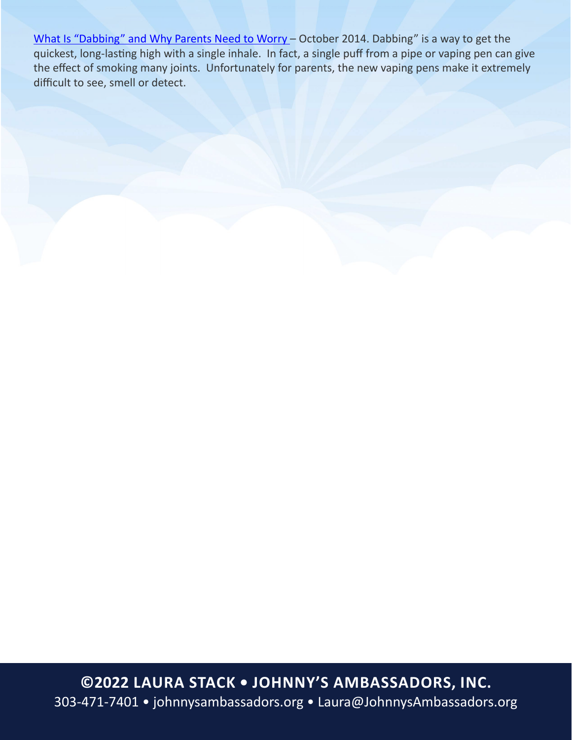[What Is "Dabbing" and Why Parents Need to Worry](https://poppot.org/2014/10/25/dabbing-dangerous/?fbclid=IwAR2Bc9HVPh9O0OQb6K2xKMcKkeUoLV4NNdlP4rDUV5cLsXTeL-pt2SzVMb4) - October 2014. Dabbing" is a way to get the quickest, long-lasting high with a single inhale. In fact, a single puff from a pipe or vaping pen can give the effect of smoking many joints. Unfortunately for parents, the new vaping pens make it extremely difficult to see, smell or detect.

**©2022 Laura Stack • Johnny's Ambassadors, Inc.** 303-471-7401 • [johnnysambassadors.org](http://johnnysambassadors.org) • [Laura@JohnnysAmbassadors.org](mailto:Laura%40JohnnysAmbassadors.org)